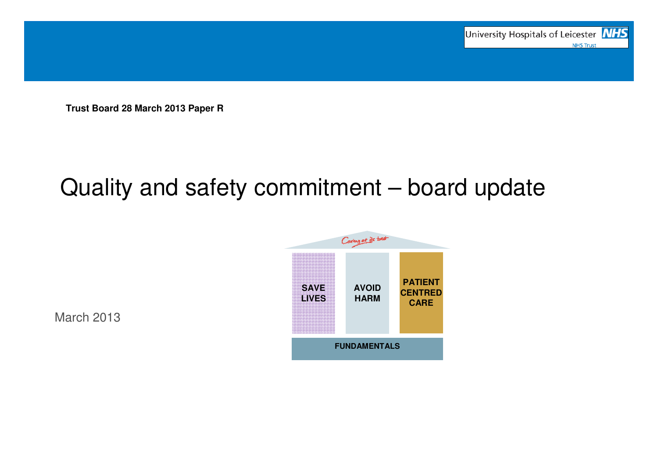

**Trust Board 28 March 2013 Paper R**

# Quality and safety commitment – board update



March 2013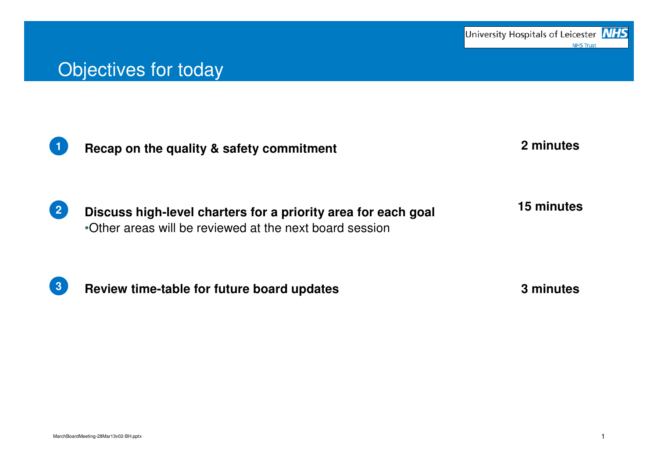#### Objectives for today



**Recap on the quality & safety commitment**

**2 minutes**

**Discuss high-level charters for a priority area for each goal**•Other areas will be reviewed at the next board session**215 minutes**

**3**

**Review time-table for future board updates 3 minutes**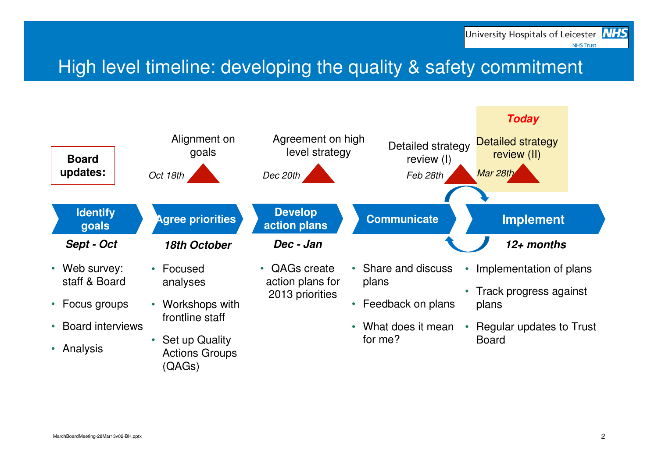# High level timeline: developing the quality & safety commitment

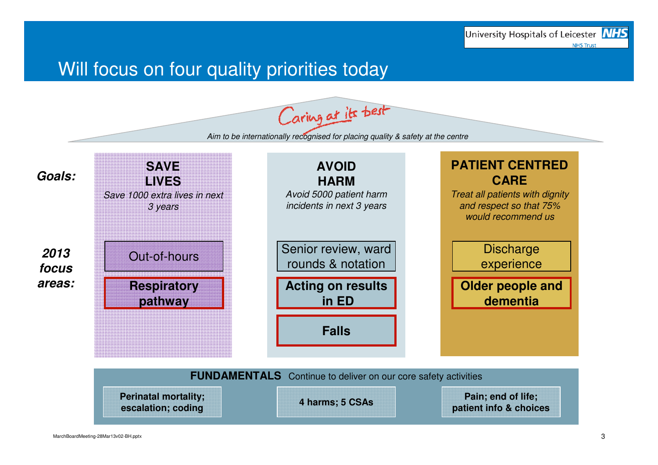#### Will focus on four quality priorities today

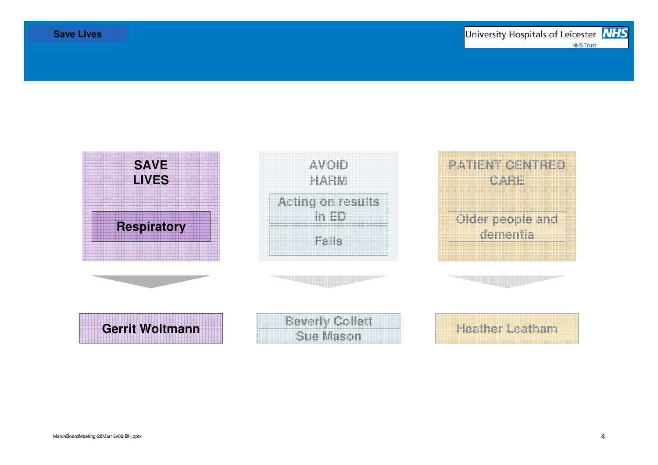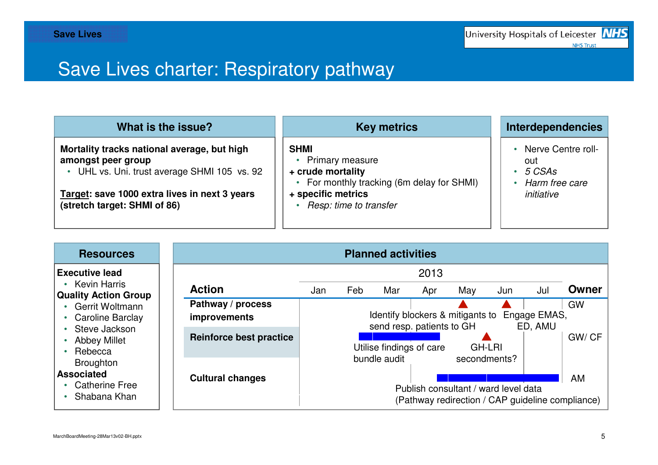# Save Lives charter: Respiratory pathway

| What is the issue?                                                                                                                                                                                 | <b>Key metrics</b>                                                                                                                                       | <b>Interdependencies</b>                                              |
|----------------------------------------------------------------------------------------------------------------------------------------------------------------------------------------------------|----------------------------------------------------------------------------------------------------------------------------------------------------------|-----------------------------------------------------------------------|
| Mortality tracks national average, but high<br>amongst peer group<br>• UHL vs. Uni. trust average SHMI 105 vs. 92<br>Target: save 1000 extra lives in next 3 years<br>(stretch target: SHMI of 86) | <b>SHMI</b><br><b>Primary measure</b><br>+ crude mortality<br>• For monthly tracking (6m delay for SHMI)<br>+ specific metrics<br>Resp: time to transfer | • Nerve Centre roll-<br>out<br>5 CSAs<br>Harm free care<br>initiative |

| <b>Resources</b>                                                                                                                                                                | <b>Planned activities</b>                |                                    |                                                                                                                          |                                                                                          |      |     |     |     |           |
|---------------------------------------------------------------------------------------------------------------------------------------------------------------------------------|------------------------------------------|------------------------------------|--------------------------------------------------------------------------------------------------------------------------|------------------------------------------------------------------------------------------|------|-----|-----|-----|-----------|
| <b>Executive lead</b>                                                                                                                                                           |                                          |                                    |                                                                                                                          |                                                                                          | 2013 |     |     |     |           |
| <b>Kevin Harris</b><br><b>Quality Action Group</b>                                                                                                                              | <b>Action</b>                            | Jan                                | Feb                                                                                                                      | Mar                                                                                      | Apr  | May | Jun | Jul | Owner     |
| <b>Gerrit Woltmann</b><br>Caroline Barclay<br>Steve Jackson<br><b>Abbey Millet</b><br>Rebecca<br><b>Broughton</b><br><b>Associated</b><br><b>Catherine Free</b><br>Shabana Khan | Pathway / process<br><b>improvements</b> |                                    |                                                                                                                          | Identify blockers & mitigants to<br>Engage EMAS,<br>send resp. patients to GH<br>ED, AMU |      |     |     |     | <b>GW</b> |
|                                                                                                                                                                                 | <b>Reinforce best practice</b>           | Utilise findings of care<br>GH-LRI |                                                                                                                          |                                                                                          |      |     |     |     | GW/CF     |
|                                                                                                                                                                                 | <b>Cultural changes</b>                  |                                    | bundle audit<br>secondments?<br>Publish consultant / ward level data<br>(Pathway redirection / CAP guideline compliance) |                                                                                          | AM   |     |     |     |           |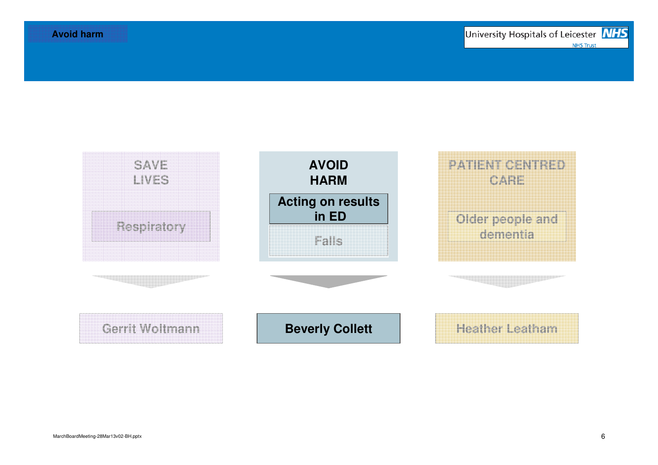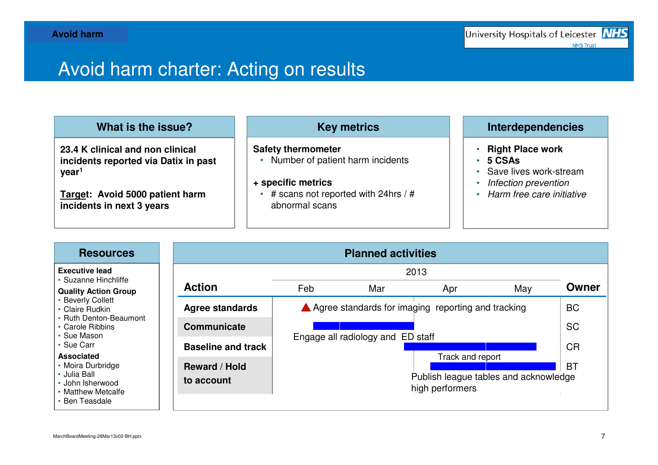# Avoid harm charter: Acting on results

| What is the issue?                                                                            | <b>Key metrics</b>                                                                      | <b>Interdependencies</b>                                      |
|-----------------------------------------------------------------------------------------------|-----------------------------------------------------------------------------------------|---------------------------------------------------------------|
| 23.4 K clinical and non clinical<br>incidents reported via Datix in past<br>$\mathsf{year}^1$ | <b>Safety thermometer</b><br>Number of patient harm incidents                           | <b>Right Place work</b><br>5 CSAs<br>• Save lives work-stream |
| Target: Avoid 5000 patient harm<br>incidents in next 3 years                                  | + specific metrics<br>$\frac{1}{4}$ scans not reported with 24hrs / #<br>abnormal scans | Infection prevention<br>Harm free care initiative             |

| <b>Resources</b>                                                                               | <b>Planned activities</b>          |                                                                                                               |     |                                                          |     |           |  |  |
|------------------------------------------------------------------------------------------------|------------------------------------|---------------------------------------------------------------------------------------------------------------|-----|----------------------------------------------------------|-----|-----------|--|--|
| <b>Executive lead</b><br>• Suzanne Hinchliffe                                                  |                                    | 2013                                                                                                          |     |                                                          |     |           |  |  |
| <b>Quality Action Group</b>                                                                    | <b>Action</b>                      | Feb                                                                                                           | Mar | Apr                                                      | May | Owner     |  |  |
| • Beverly Collett<br>• Claire Rudkin                                                           | <b>Agree standards</b>             | ▲ Agree standards for imaging reporting and tracking<br>Engage all radiology and ED staff<br>Track and report |     |                                                          |     |           |  |  |
| • Ruth Denton-Beaumont<br>• Carole Ribbins<br>• Sue Mason                                      | <b>Communicate</b>                 |                                                                                                               |     |                                                          |     |           |  |  |
| • Sue Carr<br>Associated                                                                       | <b>Baseline and track</b>          |                                                                                                               |     |                                                          |     |           |  |  |
| • Moira Durbridge<br>• Julia Ball_<br>• John Isherwood<br>• Matthew Metcalfe<br>• Ben Teasdale | <b>Reward / Hold</b><br>to account |                                                                                                               |     | Publish league tables and acknowledge<br>high performers |     | <b>BT</b> |  |  |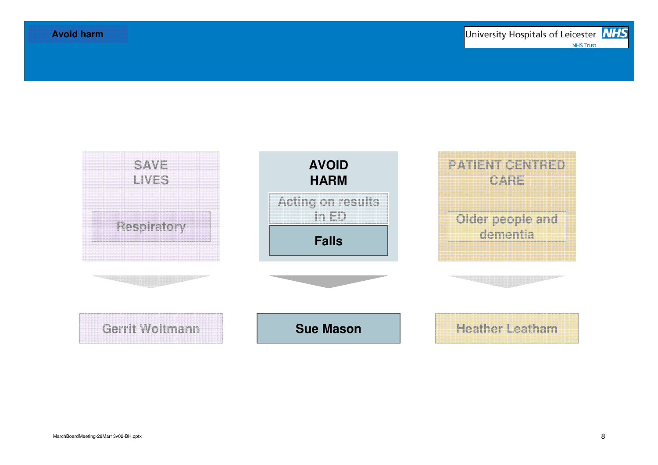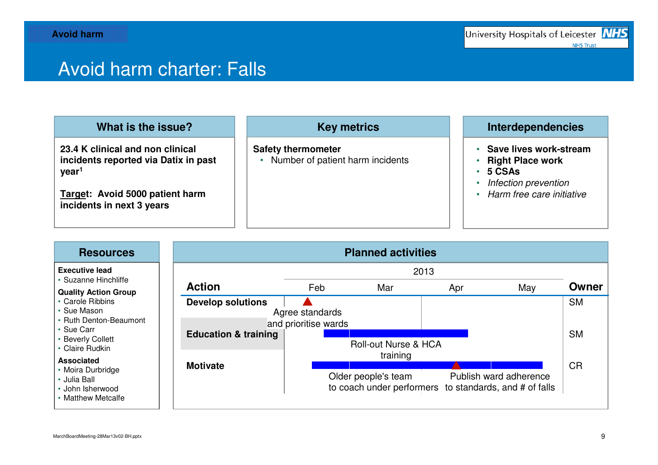## Avoid harm charter: Falls

| What is the issue?                                                                            | <b>Key metrics</b>                                            | <b>Interdependencies</b>                                              |
|-----------------------------------------------------------------------------------------------|---------------------------------------------------------------|-----------------------------------------------------------------------|
| 23.4 K clinical and non clinical<br>incidents reported via Datix in past<br>$\mathsf{year}^1$ | <b>Safety thermometer</b><br>Number of patient harm incidents | • Save lives work-stream<br><b>Right Place work</b><br>$\cdot$ 5 CSAs |
| Target: Avoid 5000 patient harm<br>incidents in next 3 years                                  |                                                               | Infection prevention<br>• Harm free care initiative                   |

| <b>Resources</b>                                                            | <b>Planned activities</b>       |                      |                                                                               |     |                        |           |  |  |
|-----------------------------------------------------------------------------|---------------------------------|----------------------|-------------------------------------------------------------------------------|-----|------------------------|-----------|--|--|
| <b>Executive lead</b>                                                       |                                 |                      | 2013                                                                          |     |                        |           |  |  |
| • Suzanne Hinchliffe<br><b>Quality Action Group</b>                         | <b>Action</b>                   | Feb                  | Mar                                                                           | Apr | May                    | Owner     |  |  |
| • Carole Ribbins<br>• Sue Mason                                             | <b>Develop solutions</b>        | Agree standards      |                                                                               |     |                        | <b>SM</b> |  |  |
| • Ruth Denton-Beaumont<br>• Sue Carr                                        |                                 | and prioritise wards |                                                                               |     |                        |           |  |  |
| • Beverly Collett<br>• Claire Rudkin                                        | <b>Education &amp; training</b> |                      | Roll-out Nurse & HCA                                                          |     |                        | <b>SM</b> |  |  |
| <b>Associated</b>                                                           | <b>Motivate</b>                 |                      | training                                                                      |     |                        | <b>CR</b> |  |  |
| • Moira Durbridge<br>• Julia Ball<br>• John Isherwood<br>• Matthew Metcalfe |                                 |                      | Older people's team<br>to coach under performers to standards, and # of falls |     | Publish ward adherence |           |  |  |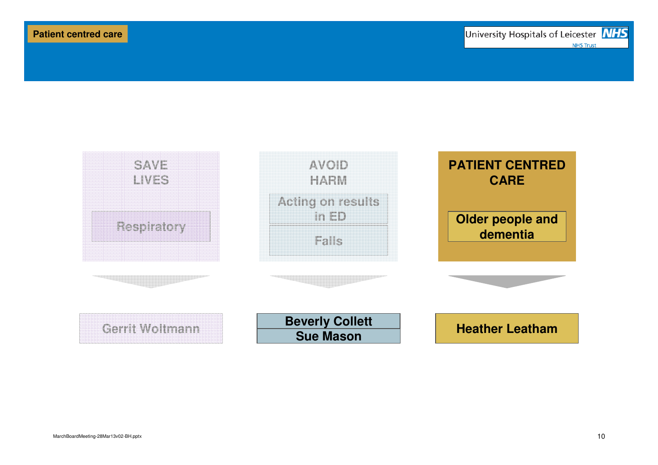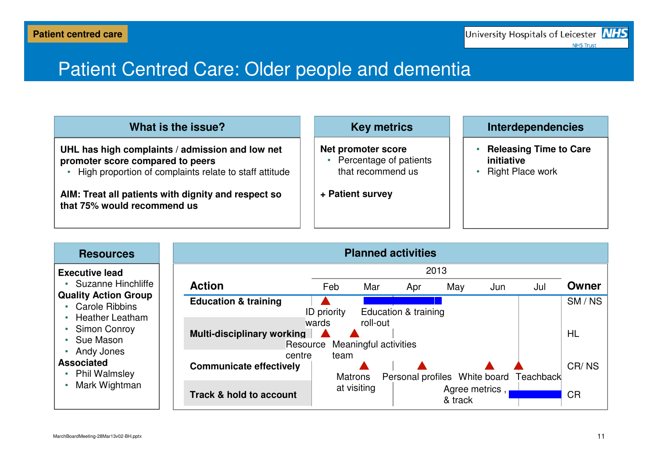## Patient Centred Care: Older people and dementia

| What is the issue?                                                                                                                            | <b>Key metrics</b>                                                         | <b>Interdependencies</b>                                               |
|-----------------------------------------------------------------------------------------------------------------------------------------------|----------------------------------------------------------------------------|------------------------------------------------------------------------|
| UHL has high complaints / admission and low net<br>promoter score compared to peers<br>High proportion of complaints relate to staff attitude | <b>Net promoter score</b><br>• Percentage of patients<br>that recommend us | <b>Releasing Time to Care</b><br>initiative<br><b>Right Place work</b> |
| AIM: Treat all patients with dignity and respect so<br>that 75% would recommend us                                                            | + Patient survey                                                           |                                                                        |

| <b>Resources</b>                                                                                           | <b>Planned activities</b>                     |                 |                                   |                      |                               |     |           |           |
|------------------------------------------------------------------------------------------------------------|-----------------------------------------------|-----------------|-----------------------------------|----------------------|-------------------------------|-----|-----------|-----------|
| <b>Executive lead</b>                                                                                      |                                               |                 |                                   |                      | 2013                          |     |           |           |
| • Suzanne Hinchliffe                                                                                       | <b>Action</b>                                 | Feb             | Mar                               | Apr                  | May                           | Jun | Jul       | Owner     |
| <b>Quality Action Group</b><br><b>Carole Ribbins</b><br>• Heather Leatham<br>• Simon Conroy<br>• Sue Mason | <b>Education &amp; training</b>               | ID priority     |                                   | Education & training |                               |     |           | SM/NS     |
|                                                                                                            | <b>Multi-disciplinary working</b><br>Resource | wards           | roll-out<br>Meaningful activities |                      |                               |     |           | <b>HL</b> |
| • Andy Jones<br><b>Associated</b><br>• Phil Walmsley                                                       | centre<br><b>Communicate effectively</b>      | team<br>Matrons |                                   |                      | Personal profiles White board |     | Teachback | CR/NS     |
| Mark Wightman                                                                                              | Track & hold to account                       |                 | at visiting                       |                      | Agree metrics,<br>& track     |     |           | <b>CR</b> |